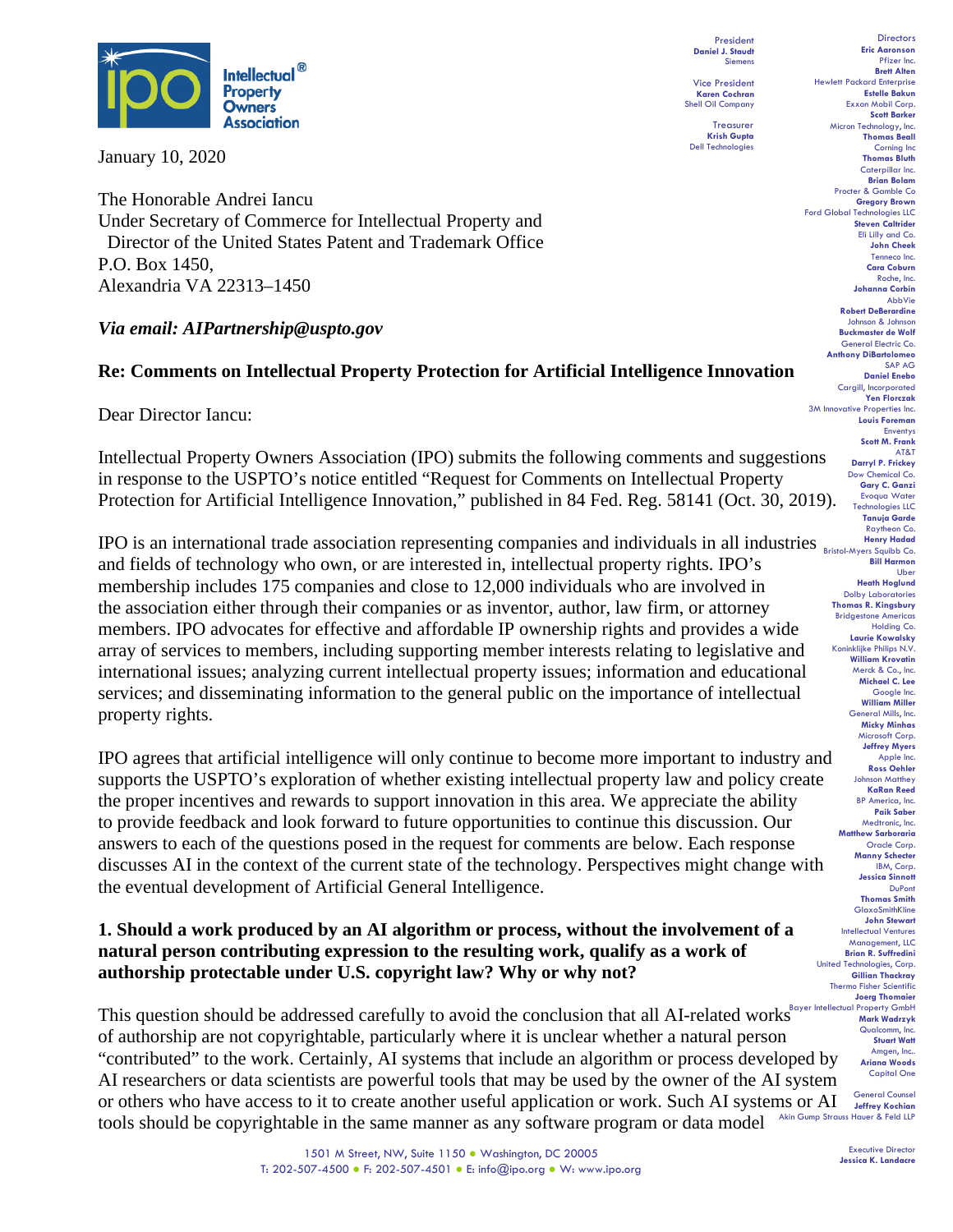

January 10, 2020

The Honorable Andrei Iancu Under Secretary of Commerce for Intellectual Property and Director of the United States Patent and Trademark Office P.O. Box 1450, Alexandria VA 22313–1450

### *Via email: AIPartnership@uspto.gov*

### **Re: Comments on Intellectual Property Protection for Artificial Intelligence Innovation**

Dear Director Iancu:

Intellectual Property Owners Association (IPO) submits the following comments and suggestions in response to the USPTO's notice entitled "Request for Comments on Intellectual Property Protection for Artificial Intelligence Innovation," published in 84 Fed. Reg. 58141 (Oct. 30, 2019).

**IPO** is an international trade association representing companies and individuals in all industries **Resistent** Menry Hadred and fields of technology who own, or are interested in, intellectual property rights. IPO's membership includes 175 companies and close to 12,000 individuals who are involved in the association either through their companies or as inventor, author, law firm, or attorney members. IPO advocates for effective and affordable IP ownership rights and provides a wide array of services to members, including supporting member interests relating to legislative and international issues; analyzing current intellectual property issues; information and educational services; and disseminating information to the general public on the importance of intellectual property rights.

IPO agrees that artificial intelligence will only continue to become more important to industry and supports the USPTO's exploration of whether existing intellectual property law and policy create the proper incentives and rewards to support innovation in this area. We appreciate the ability to provide feedback and look forward to future opportunities to continue this discussion. Our answers to each of the questions posed in the request for comments are below. Each response discusses AI in the context of the current state of the technology. Perspectives might change with the eventual development of Artificial General Intelligence.

# **1. Should a work produced by an AI algorithm or process, without the involvement of a natural person contributing expression to the resulting work, qualify as a work of authorship protectable under U.S. copyright law? Why or why not?**

This question should be addressed carefully to avoid the conclusion that all AI-related works<sup>Bayer Intellectual Property GmbH</sup> of authorship are not copyrightable, particularly where it is unclear whether a natural person "contributed" to the work. Certainly, AI systems that include an algorithm or process developed by AI researchers or data scientists are powerful tools that may be used by the owner of the AI system or others who have access to it to create another useful application or work. Such AI systems or AI tools should be copyrightable in the same manner as any software program or data model

President **Daniel J. Staudt** Siemens Vice President

**Karen Cochran** Shell Oil Company Treasurer **Krish Gupta**

Dell Technologies

Pfizer Inc. **Brett Alten** Hewlett Packard Enterprise **Estelle Bakun** Exxon Mobil Corp. **Scott Barker** Micron Technology, Inc. **Thomas Beall** Corning Inc **Thomas Bluth** Caterpillar Inc. **Brian Bolam** Procter & Gamble Co **Gregory Brown** Ford Global Technologies LLC **Steven Caltrider** Eli Lilly and Co. **John Cheek** Tenneco Inc. **Cara Coburn** Roche, Inc. **Johanna Corbin** AbbVie **Robert DeBerardine** Johnson & Johnson **Buckmaster de Wolf** General Electric Co. **Anthony DiBartolomeo** SAP AG **Daniel Enebo** Cargill, Incorporated **Yen Florczak** 3M Innovative Properties Inc. **Louis Foreman** Enventys **Scott M. Frank** AT&T **Darryl P. Frickey** Dow Chemical Co. **Gary C. Ganzi** Evoqua Water Technologies LLC **Tanuja Garde** Raytheon Co. **Bill Harmon** Uber **Heath Hoglund** Dolby Laboratories **Thomas R. Kingsbury** Bridgestone Americas Holding Co. **Laurie Kowalsky** Koninklijke Philips N.V. **William Krovatin** Merck & Co., Inc. **Michael C. Lee** Google Inc. **William Miller** General Mills, Inc. **Micky Minhas** Microsoft Corp. **Jeffrey Myers** Apple Inc. **Ross Oehler** Johnson Matthey **KaRan Reed** BP America, Inc. **Paik Saber** Medtronic, Inc. **Matthew Sarboraria** Oracle Corp. **Manny Schecter** IBM, Corp. **Jessica Sinnott** DuPont **Thomas Smith** GlaxoSmithKline **John Stewart** Intellectual Ventures Management, LLC **Brian R. Suffredini** United Technologies, Corp. **Gillian Thackray** Thermo Fisher Scientific **Joerg Thomaier** Qualcomm, Inc. **Stuart Watt** Amgen, Inc.. **Ariana Woods** Capital One General Counsel

**Directors Eric Aaronson** 

**Jeffrey Kochian** Akin Gump Strauss Hauer & Feld LLP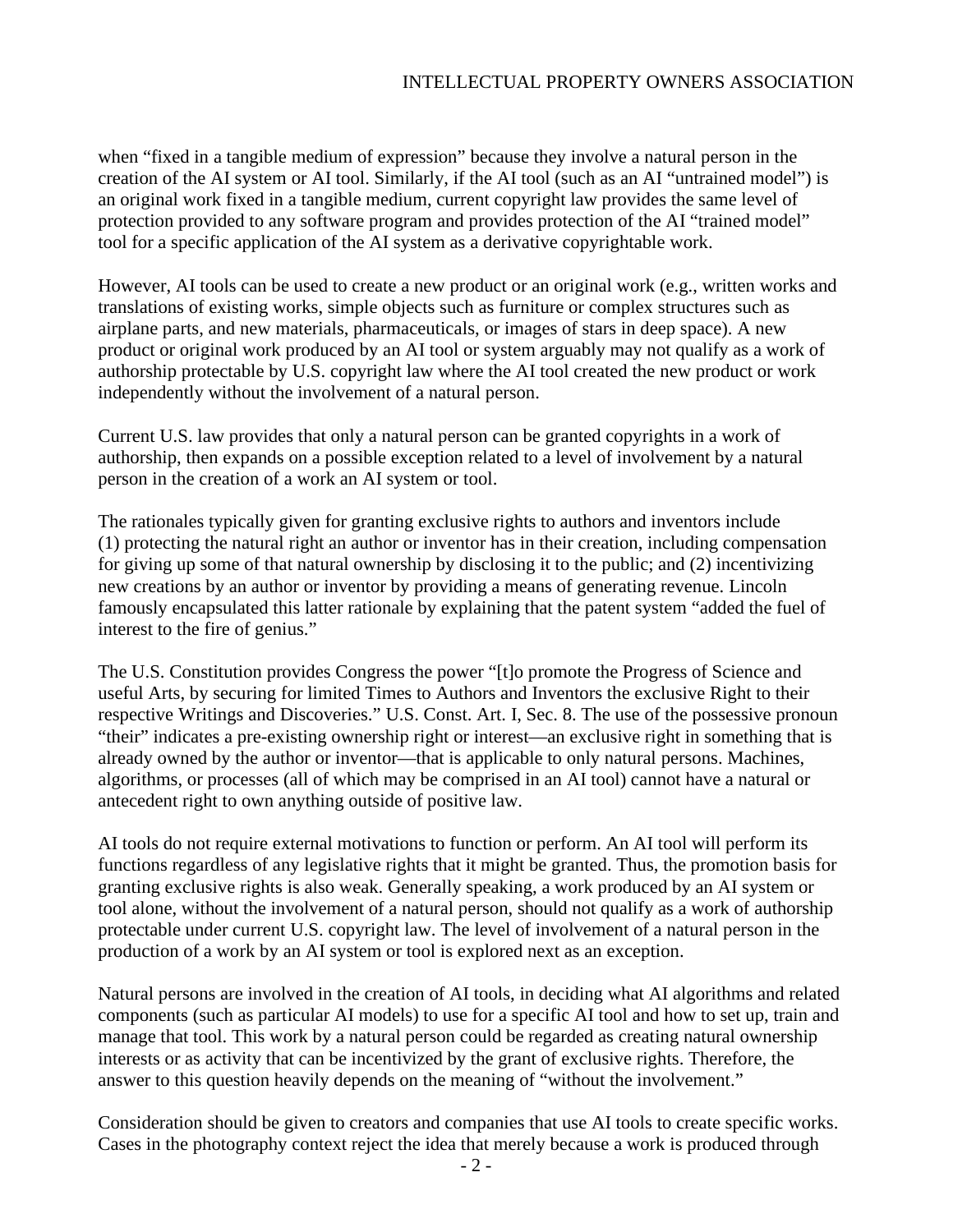when "fixed in a tangible medium of expression" because they involve a natural person in the creation of the AI system or AI tool. Similarly, if the AI tool (such as an AI "untrained model") is an original work fixed in a tangible medium, current copyright law provides the same level of protection provided to any software program and provides protection of the AI "trained model" tool for a specific application of the AI system as a derivative copyrightable work.

However, AI tools can be used to create a new product or an original work (e.g., written works and translations of existing works, simple objects such as furniture or complex structures such as airplane parts, and new materials, pharmaceuticals, or images of stars in deep space). A new product or original work produced by an AI tool or system arguably may not qualify as a work of authorship protectable by U.S. copyright law where the AI tool created the new product or work independently without the involvement of a natural person.

Current U.S. law provides that only a natural person can be granted copyrights in a work of authorship, then expands on a possible exception related to a level of involvement by a natural person in the creation of a work an AI system or tool.

The rationales typically given for granting exclusive rights to authors and inventors include (1) protecting the natural right an author or inventor has in their creation, including compensation for giving up some of that natural ownership by disclosing it to the public; and (2) incentivizing new creations by an author or inventor by providing a means of generating revenue. Lincoln famously encapsulated this latter rationale by explaining that the patent system "added the fuel of interest to the fire of genius."

The U.S. Constitution provides Congress the power "[t]o promote the Progress of Science and useful Arts, by securing for limited Times to Authors and Inventors the exclusive Right to their respective Writings and Discoveries." U.S. Const. Art. I, Sec. 8. The use of the possessive pronoun "their" indicates a pre-existing ownership right or interest—an exclusive right in something that is already owned by the author or inventor—that is applicable to only natural persons. Machines, algorithms, or processes (all of which may be comprised in an AI tool) cannot have a natural or antecedent right to own anything outside of positive law.

AI tools do not require external motivations to function or perform. An AI tool will perform its functions regardless of any legislative rights that it might be granted. Thus, the promotion basis for granting exclusive rights is also weak. Generally speaking, a work produced by an AI system or tool alone, without the involvement of a natural person, should not qualify as a work of authorship protectable under current U.S. copyright law. The level of involvement of a natural person in the production of a work by an AI system or tool is explored next as an exception.

Natural persons are involved in the creation of AI tools, in deciding what AI algorithms and related components (such as particular AI models) to use for a specific AI tool and how to set up, train and manage that tool. This work by a natural person could be regarded as creating natural ownership interests or as activity that can be incentivized by the grant of exclusive rights. Therefore, the answer to this question heavily depends on the meaning of "without the involvement."

Consideration should be given to creators and companies that use AI tools to create specific works. Cases in the photography context reject the idea that merely because a work is produced through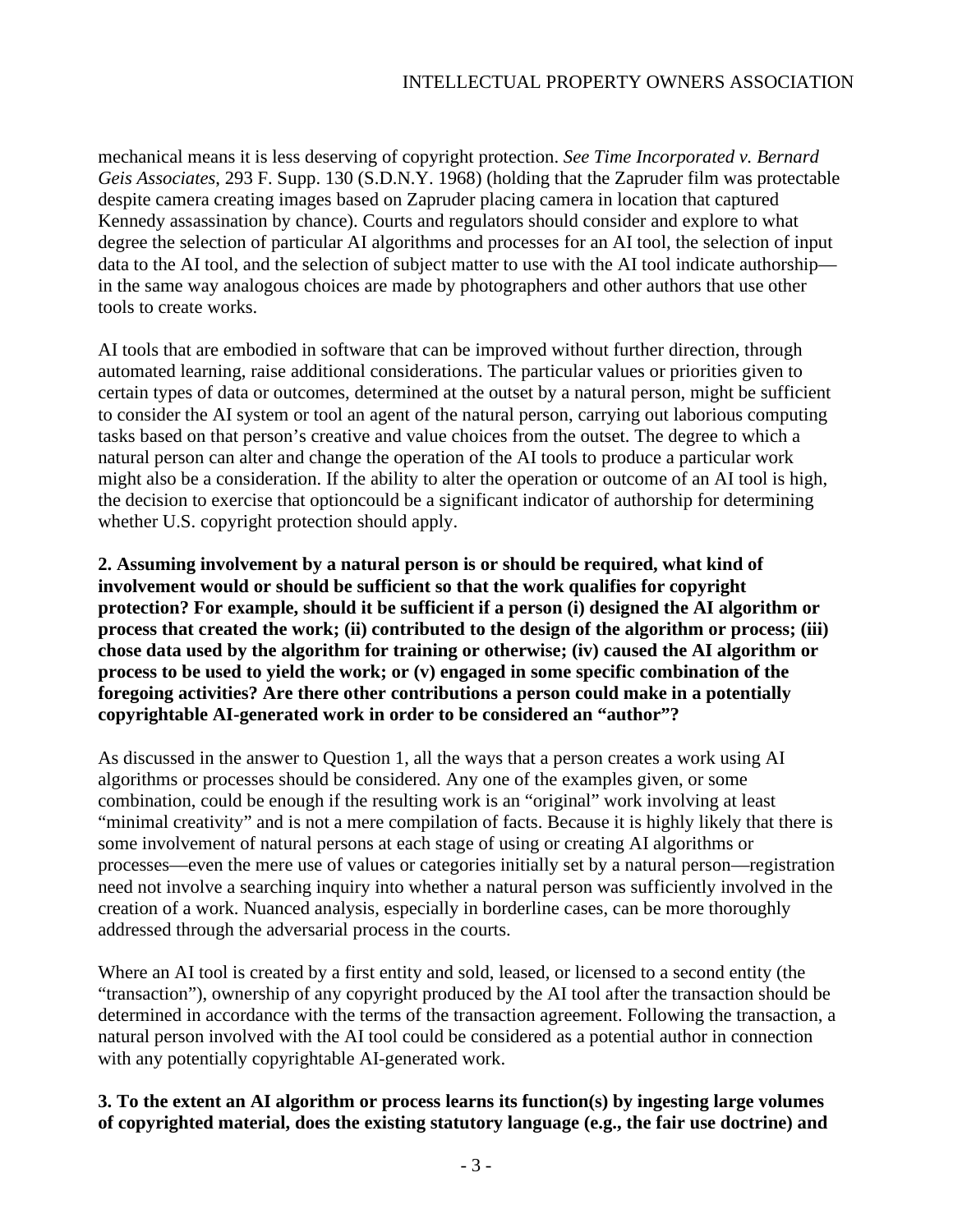mechanical means it is less deserving of copyright protection. *See Time Incorporated v. Bernard Geis Associates*, 293 F. Supp. 130 (S.D.N.Y. 1968) (holding that the Zapruder film was protectable despite camera creating images based on Zapruder placing camera in location that captured Kennedy assassination by chance). Courts and regulators should consider and explore to what degree the selection of particular AI algorithms and processes for an AI tool, the selection of input data to the AI tool, and the selection of subject matter to use with the AI tool indicate authorship in the same way analogous choices are made by photographers and other authors that use other tools to create works.

AI tools that are embodied in software that can be improved without further direction, through automated learning, raise additional considerations. The particular values or priorities given to certain types of data or outcomes, determined at the outset by a natural person, might be sufficient to consider the AI system or tool an agent of the natural person, carrying out laborious computing tasks based on that person's creative and value choices from the outset. The degree to which a natural person can alter and change the operation of the AI tools to produce a particular work might also be a consideration. If the ability to alter the operation or outcome of an AI tool is high, the decision to exercise that optioncould be a significant indicator of authorship for determining whether U.S. copyright protection should apply.

**2. Assuming involvement by a natural person is or should be required, what kind of involvement would or should be sufficient so that the work qualifies for copyright protection? For example, should it be sufficient if a person (i) designed the AI algorithm or process that created the work; (ii) contributed to the design of the algorithm or process; (iii) chose data used by the algorithm for training or otherwise; (iv) caused the AI algorithm or process to be used to yield the work; or (v) engaged in some specific combination of the foregoing activities? Are there other contributions a person could make in a potentially copyrightable AI-generated work in order to be considered an "author"?**

As discussed in the answer to Question 1, all the ways that a person creates a work using AI algorithms or processes should be considered. Any one of the examples given, or some combination, could be enough if the resulting work is an "original" work involving at least "minimal creativity" and is not a mere compilation of facts. Because it is highly likely that there is some involvement of natural persons at each stage of using or creating AI algorithms or processes—even the mere use of values or categories initially set by a natural person—registration need not involve a searching inquiry into whether a natural person was sufficiently involved in the creation of a work. Nuanced analysis, especially in borderline cases, can be more thoroughly addressed through the adversarial process in the courts.

Where an AI tool is created by a first entity and sold, leased, or licensed to a second entity (the "transaction"), ownership of any copyright produced by the AI tool after the transaction should be determined in accordance with the terms of the transaction agreement. Following the transaction, a natural person involved with the AI tool could be considered as a potential author in connection with any potentially copyrightable AI-generated work.

# **3. To the extent an AI algorithm or process learns its function(s) by ingesting large volumes of copyrighted material, does the existing statutory language (e.g., the fair use doctrine) and**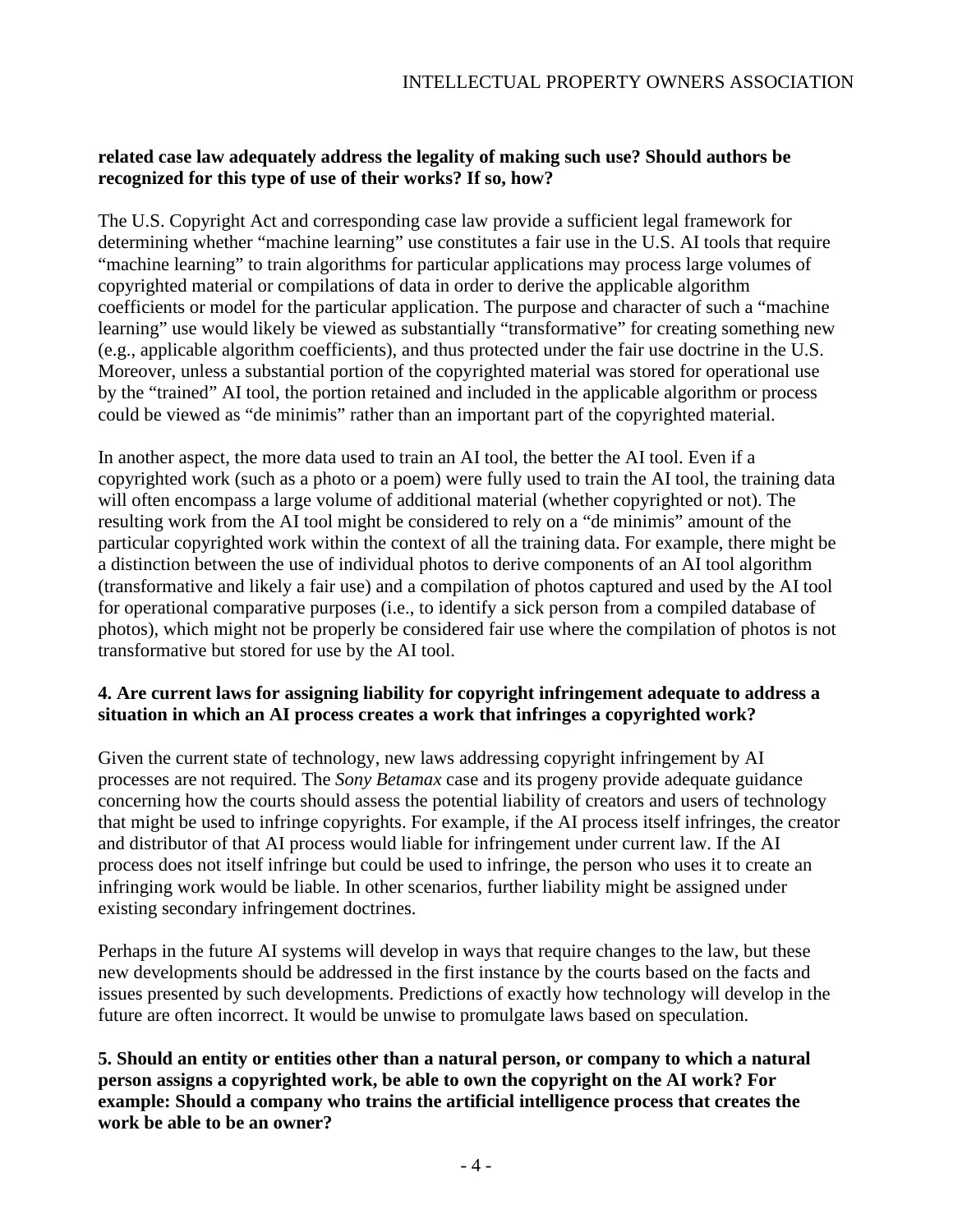### **related case law adequately address the legality of making such use? Should authors be recognized for this type of use of their works? If so, how?**

The U.S. Copyright Act and corresponding case law provide a sufficient legal framework for determining whether "machine learning" use constitutes a fair use in the U.S. AI tools that require "machine learning" to train algorithms for particular applications may process large volumes of copyrighted material or compilations of data in order to derive the applicable algorithm coefficients or model for the particular application. The purpose and character of such a "machine learning" use would likely be viewed as substantially "transformative" for creating something new (e.g., applicable algorithm coefficients), and thus protected under the fair use doctrine in the U.S. Moreover, unless a substantial portion of the copyrighted material was stored for operational use by the "trained" AI tool, the portion retained and included in the applicable algorithm or process could be viewed as "de minimis" rather than an important part of the copyrighted material.

In another aspect, the more data used to train an AI tool, the better the AI tool. Even if a copyrighted work (such as a photo or a poem) were fully used to train the AI tool, the training data will often encompass a large volume of additional material (whether copyrighted or not). The resulting work from the AI tool might be considered to rely on a "de minimis" amount of the particular copyrighted work within the context of all the training data. For example, there might be a distinction between the use of individual photos to derive components of an AI tool algorithm (transformative and likely a fair use) and a compilation of photos captured and used by the AI tool for operational comparative purposes (i.e., to identify a sick person from a compiled database of photos), which might not be properly be considered fair use where the compilation of photos is not transformative but stored for use by the AI tool.

### **4. Are current laws for assigning liability for copyright infringement adequate to address a situation in which an AI process creates a work that infringes a copyrighted work?**

Given the current state of technology, new laws addressing copyright infringement by AI processes are not required. The *Sony Betamax* case and its progeny provide adequate guidance concerning how the courts should assess the potential liability of creators and users of technology that might be used to infringe copyrights. For example, if the AI process itself infringes, the creator and distributor of that AI process would liable for infringement under current law. If the AI process does not itself infringe but could be used to infringe, the person who uses it to create an infringing work would be liable. In other scenarios, further liability might be assigned under existing secondary infringement doctrines.

Perhaps in the future AI systems will develop in ways that require changes to the law, but these new developments should be addressed in the first instance by the courts based on the facts and issues presented by such developments. Predictions of exactly how technology will develop in the future are often incorrect. It would be unwise to promulgate laws based on speculation.

**5. Should an entity or entities other than a natural person, or company to which a natural person assigns a copyrighted work, be able to own the copyright on the AI work? For example: Should a company who trains the artificial intelligence process that creates the work be able to be an owner?**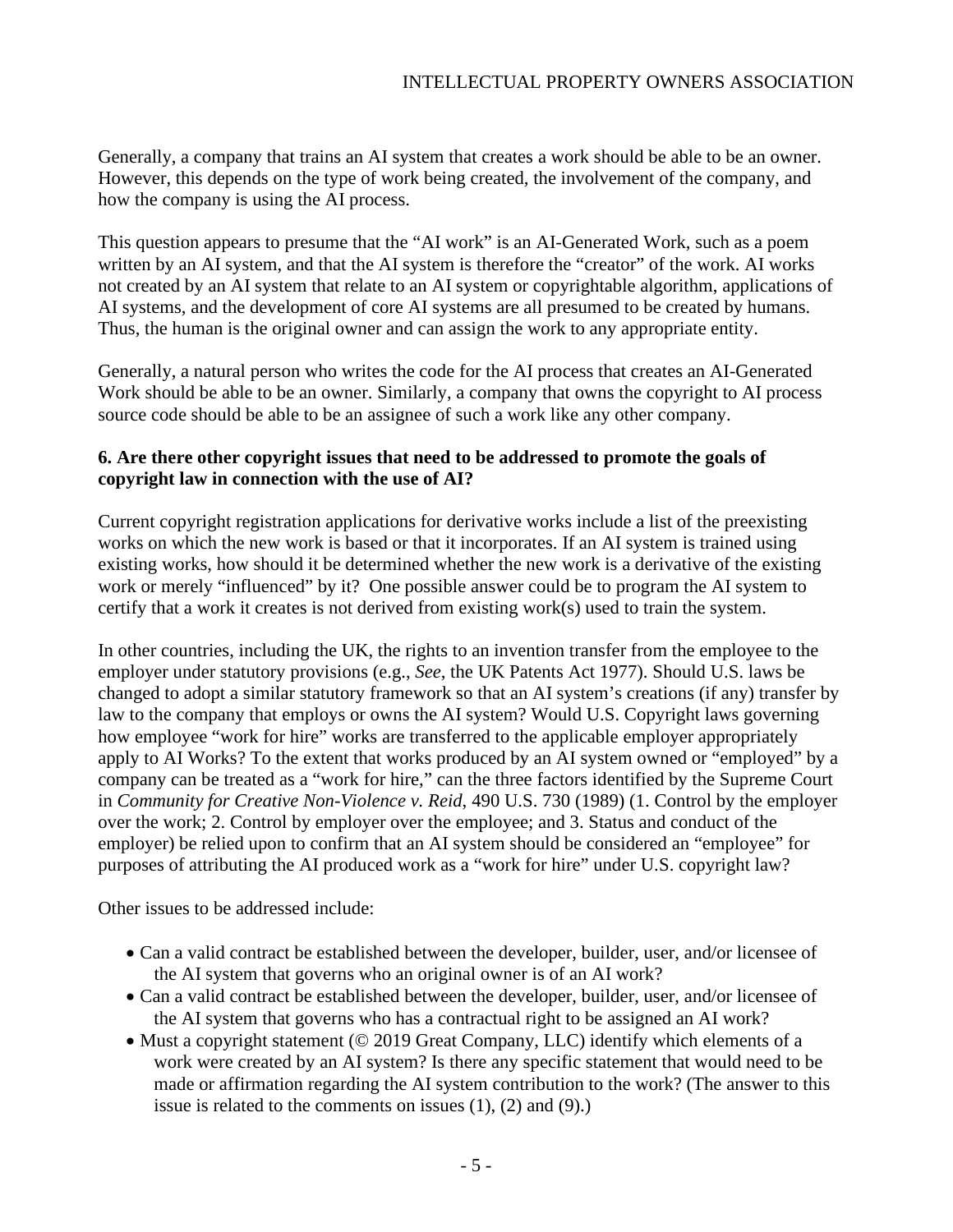Generally, a company that trains an AI system that creates a work should be able to be an owner. However, this depends on the type of work being created, the involvement of the company, and how the company is using the AI process.

This question appears to presume that the "AI work" is an AI-Generated Work, such as a poem written by an AI system, and that the AI system is therefore the "creator" of the work. AI works not created by an AI system that relate to an AI system or copyrightable algorithm, applications of AI systems, and the development of core AI systems are all presumed to be created by humans. Thus, the human is the original owner and can assign the work to any appropriate entity.

Generally, a natural person who writes the code for the AI process that creates an AI-Generated Work should be able to be an owner. Similarly, a company that owns the copyright to AI process source code should be able to be an assignee of such a work like any other company.

# **6. Are there other copyright issues that need to be addressed to promote the goals of copyright law in connection with the use of AI?**

Current copyright registration applications for derivative works include a list of the preexisting works on which the new work is based or that it incorporates. If an AI system is trained using existing works, how should it be determined whether the new work is a derivative of the existing work or merely "influenced" by it? One possible answer could be to program the AI system to certify that a work it creates is not derived from existing work(s) used to train the system.

In other countries, including the UK, the rights to an invention transfer from the employee to the employer under statutory provisions (e.g., *See*, the UK Patents Act 1977). Should U.S. laws be changed to adopt a similar statutory framework so that an AI system's creations (if any) transfer by law to the company that employs or owns the AI system? Would U.S. Copyright laws governing how employee "work for hire" works are transferred to the applicable employer appropriately apply to AI Works? To the extent that works produced by an AI system owned or "employed" by a company can be treated as a "work for hire," can the three factors identified by the Supreme Court in *Community for Creative Non-Violence v. Reid*, 490 U.S. 730 (1989) (1. Control by the employer over the work; 2. Control by employer over the employee; and 3. Status and conduct of the employer) be relied upon to confirm that an AI system should be considered an "employee" for purposes of attributing the AI produced work as a "work for hire" under U.S. copyright law?

Other issues to be addressed include:

- Can a valid contract be established between the developer, builder, user, and/or licensee of the AI system that governs who an original owner is of an AI work?
- Can a valid contract be established between the developer, builder, user, and/or licensee of the AI system that governs who has a contractual right to be assigned an AI work?
- Must a copyright statement (© 2019 Great Company, LLC) identify which elements of a work were created by an AI system? Is there any specific statement that would need to be made or affirmation regarding the AI system contribution to the work? (The answer to this issue is related to the comments on issues (1), (2) and (9).)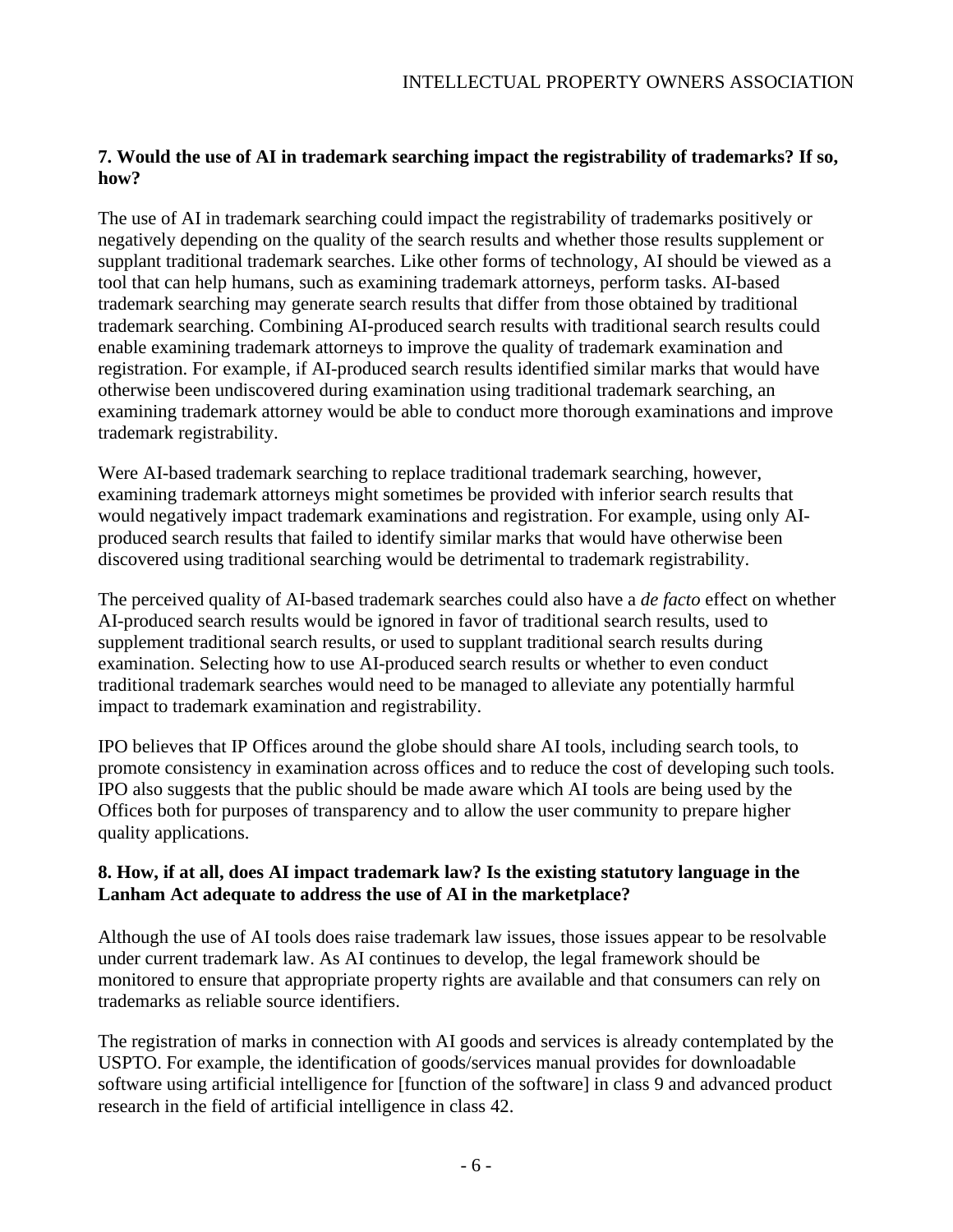# **7. Would the use of AI in trademark searching impact the registrability of trademarks? If so, how?**

The use of AI in trademark searching could impact the registrability of trademarks positively or negatively depending on the quality of the search results and whether those results supplement or supplant traditional trademark searches. Like other forms of technology, AI should be viewed as a tool that can help humans, such as examining trademark attorneys, perform tasks. AI-based trademark searching may generate search results that differ from those obtained by traditional trademark searching. Combining AI-produced search results with traditional search results could enable examining trademark attorneys to improve the quality of trademark examination and registration. For example, if AI-produced search results identified similar marks that would have otherwise been undiscovered during examination using traditional trademark searching, an examining trademark attorney would be able to conduct more thorough examinations and improve trademark registrability.

Were AI-based trademark searching to replace traditional trademark searching, however, examining trademark attorneys might sometimes be provided with inferior search results that would negatively impact trademark examinations and registration. For example, using only AIproduced search results that failed to identify similar marks that would have otherwise been discovered using traditional searching would be detrimental to trademark registrability.

The perceived quality of AI-based trademark searches could also have a *de facto* effect on whether AI-produced search results would be ignored in favor of traditional search results, used to supplement traditional search results, or used to supplant traditional search results during examination. Selecting how to use AI-produced search results or whether to even conduct traditional trademark searches would need to be managed to alleviate any potentially harmful impact to trademark examination and registrability.

IPO believes that IP Offices around the globe should share AI tools, including search tools, to promote consistency in examination across offices and to reduce the cost of developing such tools. IPO also suggests that the public should be made aware which AI tools are being used by the Offices both for purposes of transparency and to allow the user community to prepare higher quality applications.

# **8. How, if at all, does AI impact trademark law? Is the existing statutory language in the Lanham Act adequate to address the use of AI in the marketplace?**

Although the use of AI tools does raise trademark law issues, those issues appear to be resolvable under current trademark law. As AI continues to develop, the legal framework should be monitored to ensure that appropriate property rights are available and that consumers can rely on trademarks as reliable source identifiers.

The registration of marks in connection with AI goods and services is already contemplated by the USPTO. For example, the identification of goods/services manual provides for downloadable software using artificial intelligence for [function of the software] in class 9 and advanced product research in the field of artificial intelligence in class 42.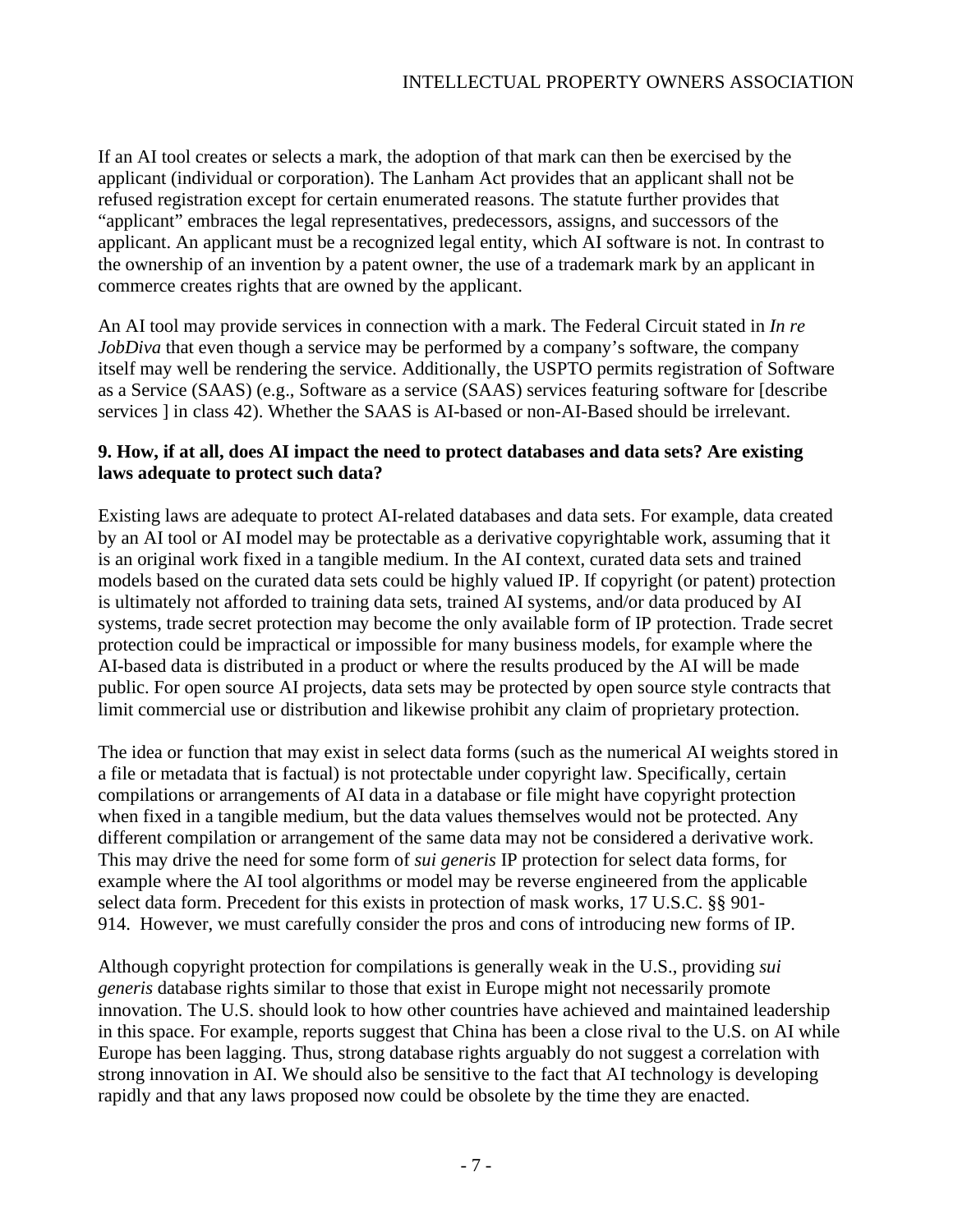If an AI tool creates or selects a mark, the adoption of that mark can then be exercised by the applicant (individual or corporation). The Lanham Act provides that an applicant shall not be refused registration except for certain enumerated reasons. The statute further provides that "applicant" embraces the legal representatives, predecessors, assigns, and successors of the applicant. An applicant must be a recognized legal entity, which AI software is not. In contrast to the ownership of an invention by a patent owner, the use of a trademark mark by an applicant in commerce creates rights that are owned by the applicant.

An AI tool may provide services in connection with a mark. The Federal Circuit stated in *In re JobDiva* that even though a service may be performed by a company's software, the company itself may well be rendering the service. Additionally, the USPTO permits registration of Software as a Service (SAAS) (e.g., Software as a service (SAAS) services featuring software for [describe services ] in class 42). Whether the SAAS is AI-based or non-AI-Based should be irrelevant.

# **9. How, if at all, does AI impact the need to protect databases and data sets? Are existing laws adequate to protect such data?**

Existing laws are adequate to protect AI-related databases and data sets. For example, data created by an AI tool or AI model may be protectable as a derivative copyrightable work, assuming that it is an original work fixed in a tangible medium. In the AI context, curated data sets and trained models based on the curated data sets could be highly valued IP. If copyright (or patent) protection is ultimately not afforded to training data sets, trained AI systems, and/or data produced by AI systems, trade secret protection may become the only available form of IP protection. Trade secret protection could be impractical or impossible for many business models, for example where the AI-based data is distributed in a product or where the results produced by the AI will be made public. For open source AI projects, data sets may be protected by open source style contracts that limit commercial use or distribution and likewise prohibit any claim of proprietary protection.

The idea or function that may exist in select data forms (such as the numerical AI weights stored in a file or metadata that is factual) is not protectable under copyright law. Specifically, certain compilations or arrangements of AI data in a database or file might have copyright protection when fixed in a tangible medium, but the data values themselves would not be protected. Any different compilation or arrangement of the same data may not be considered a derivative work. This may drive the need for some form of *sui generis* IP protection for select data forms, for example where the AI tool algorithms or model may be reverse engineered from the applicable select data form. Precedent for this exists in protection of mask works, [17 U.S.C. §§ 901-](http://www.copyright.gov/title17/92chap9.html) [914.](http://www.copyright.gov/title17/92chap9.html) However, we must carefully consider the pros and cons of introducing new forms of IP.

Although copyright protection for compilations is generally weak in the U.S., providing *sui generis* database rights similar to those that exist in Europe might not necessarily promote innovation. The U.S. should look to how other countries have achieved and maintained leadership in this space. For example, reports suggest that China has been a close rival to the U.S. on AI while Europe has been lagging. Thus, strong database rights arguably do not suggest a correlation with strong innovation in AI. We should also be sensitive to the fact that AI technology is developing rapidly and that any laws proposed now could be obsolete by the time they are enacted.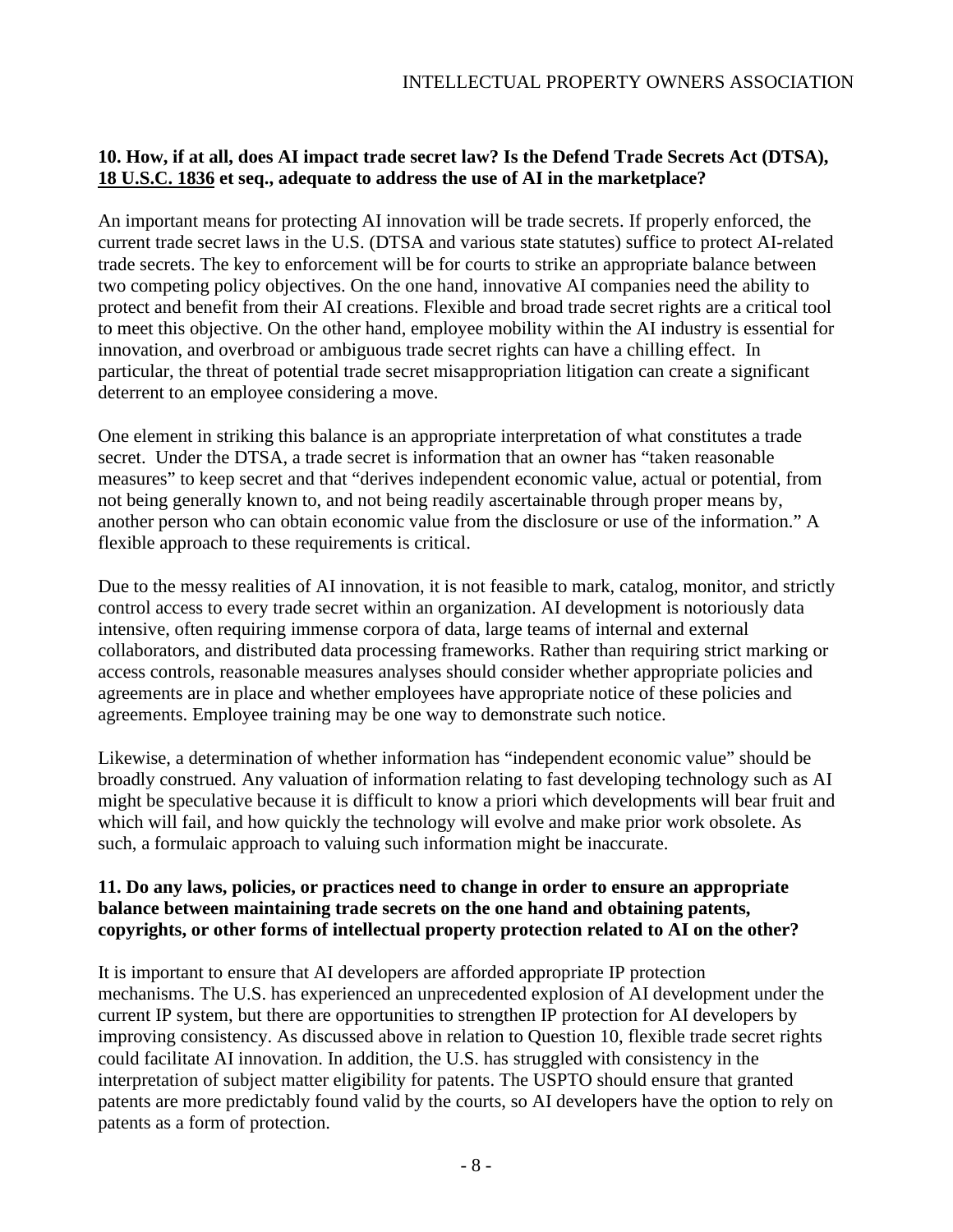# **10. How, if at all, does AI impact trade secret law? Is the Defend Trade Secrets Act (DTSA), [18 U.S.C. 1836](https://www.govinfo.gov/link/uscode/18/1836?type=usc&year=mostrecent&link-type=html) et seq., adequate to address the use of AI in the marketplace?**

An important means for protecting AI innovation will be trade secrets. If properly enforced, the current trade secret laws in the U.S. (DTSA and various state statutes) suffice to protect AI-related trade secrets. The key to enforcement will be for courts to strike an appropriate balance between two competing policy objectives. On the one hand, innovative AI companies need the ability to protect and benefit from their AI creations. Flexible and broad trade secret rights are a critical tool to meet this objective. On the other hand, employee mobility within the AI industry is essential for innovation, and overbroad or ambiguous trade secret rights can have a chilling effect. In particular, the threat of potential trade secret misappropriation litigation can create a significant deterrent to an employee considering a move.

One element in striking this balance is an appropriate interpretation of what constitutes a trade secret. Under the DTSA, a trade secret is information that an owner has "taken reasonable measures" to keep secret and that "derives independent economic value, actual or potential, from not being generally known to, and not being readily ascertainable through proper means by, another person who can obtain economic value from the disclosure or use of the information." A flexible approach to these requirements is critical.

Due to the messy realities of AI innovation, it is not feasible to mark, catalog, monitor, and strictly control access to every trade secret within an organization. AI development is notoriously data intensive, often requiring immense corpora of data, large teams of internal and external collaborators, and distributed data processing frameworks. Rather than requiring strict marking or access controls, reasonable measures analyses should consider whether appropriate policies and agreements are in place and whether employees have appropriate notice of these policies and agreements. Employee training may be one way to demonstrate such notice.

Likewise, a determination of whether information has "independent economic value" should be broadly construed. Any valuation of information relating to fast developing technology such as AI might be speculative because it is difficult to know a priori which developments will bear fruit and which will fail, and how quickly the technology will evolve and make prior work obsolete. As such, a formulaic approach to valuing such information might be inaccurate.

### **11. Do any laws, policies, or practices need to change in order to ensure an appropriate balance between maintaining trade secrets on the one hand and obtaining patents, copyrights, or other forms of intellectual property protection related to AI on the other?**

It is important to ensure that AI developers are afforded appropriate IP protection mechanisms. The U.S. has experienced an unprecedented explosion of AI development under the current IP system, but there are opportunities to strengthen IP protection for AI developers by improving consistency. As discussed above in relation to Question 10, flexible trade secret rights could facilitate AI innovation. In addition, the U.S. has struggled with consistency in the interpretation of subject matter eligibility for patents. The USPTO should ensure that granted patents are more predictably found valid by the courts, so AI developers have the option to rely on patents as a form of protection.